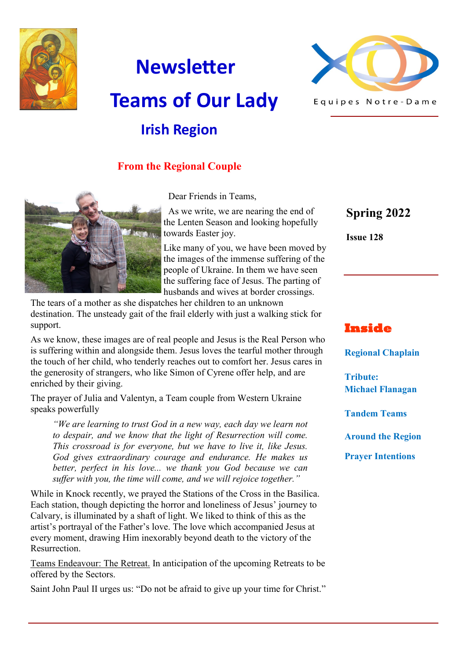

# **Newsletter Teams of Our Lady Irish Region**



# **From the Regional Couple**



Dear Friends in Teams,

 As we write, we are nearing the end of the Lenten Season and looking hopefully towards Easter joy.

Like many of you, we have been moved by the images of the immense suffering of the people of Ukraine. In them we have seen the suffering face of Jesus. The parting of husbands and wives at border crossings.

The tears of a mother as she dispatches her children to an unknown destination. The unsteady gait of the frail elderly with just a walking stick for support.

As we know, these images are of real people and Jesus is the Real Person who is suffering within and alongside them. Jesus loves the tearful mother through the touch of her child, who tenderly reaches out to comfort her. Jesus cares in the generosity of strangers, who like Simon of Cyrene offer help, and are enriched by their giving.

The prayer of Julia and Valentyn, a Team couple from Western Ukraine speaks powerfully

*"We are learning to trust God in a new way, each day we learn not to despair, and we know that the light of Resurrection will come. This crossroad is for everyone, but we have to live it, like Jesus. God gives extraordinary courage and endurance. He makes us better, perfect in his love... we thank you God because we can suffer with you, the time will come, and we will rejoice together."*

While in Knock recently, we prayed the Stations of the Cross in the Basilica. Each station, though depicting the horror and loneliness of Jesus' journey to Calvary, is illuminated by a shaft of light. We liked to think of this as the artist's portrayal of the Father's love. The love which accompanied Jesus at every moment, drawing Him inexorably beyond death to the victory of the Resurrection.

Teams Endeavour: The Retreat. In anticipation of the upcoming Retreats to be offered by the Sectors.

Saint John Paul II urges us: "Do not be afraid to give up your time for Christ."

**Spring 2022**

**Issue 128**

# **Inside**

**Regional Chaplain**

**Tribute: Michael Flanagan**

**Tandem Teams**

**Around the Region**

**Prayer Intentions**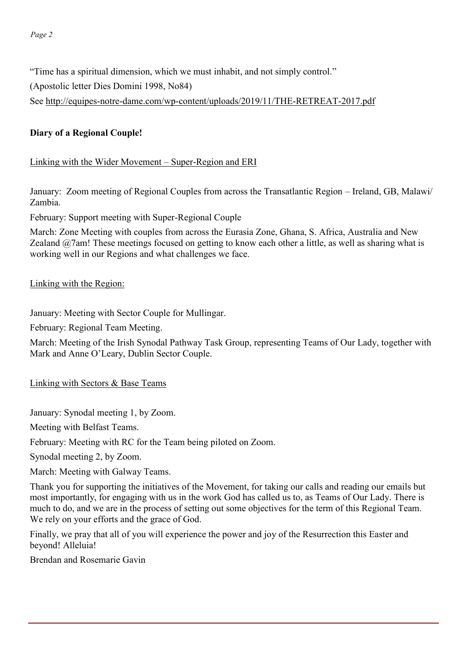"Time has a spiritual dimension, which we must inhabit, and not simply control."

(Apostolic letter Dies Domini 1998, No84)

See http://equipes-notre-dame.com/wp-[content/uploads/2019/11/THE](http://equipes-notre-dame.com/wp-content/uploads/2019/11/THE-RETREAT-2017.pdf)-RETREAT-2017.pdf

#### **Diary of a Regional Couple!**

#### Linking with the Wider Movement – Super-Region and ERI

January: Zoom meeting of Regional Couples from across the Transatlantic Region – Ireland, GB, Malawi/ Zambia.

February: Support meeting with Super-Regional Couple

March: Zone Meeting with couples from across the Eurasia Zone, Ghana, S. Africa, Australia and New Zealand @7am! These meetings focused on getting to know each other a little, as well as sharing what is working well in our Regions and what challenges we face.

#### Linking with the Region:

January: Meeting with Sector Couple for Mullingar.

February: Regional Team Meeting.

March: Meeting of the Irish Synodal Pathway Task Group, representing Teams of Our Lady, together with Mark and Anne O'Leary, Dublin Sector Couple.

Linking with Sectors & Base Teams

January: Synodal meeting 1, by Zoom.

Meeting with Belfast Teams.

February: Meeting with RC for the Team being piloted on Zoom.

Synodal meeting 2, by Zoom.

March: Meeting with Galway Teams.

Thank you for supporting the initiatives of the Movement, for taking our calls and reading our emails but most importantly, for engaging with us in the work God has called us to, as Teams of Our Lady. There is much to do, and we are in the process of setting out some objectives for the term of this Regional Team. We rely on your efforts and the grace of God.

Finally, we pray that all of you will experience the power and joy of the Resurrection this Easter and beyond! Alleluia!

Brendan and Rosemarie Gavin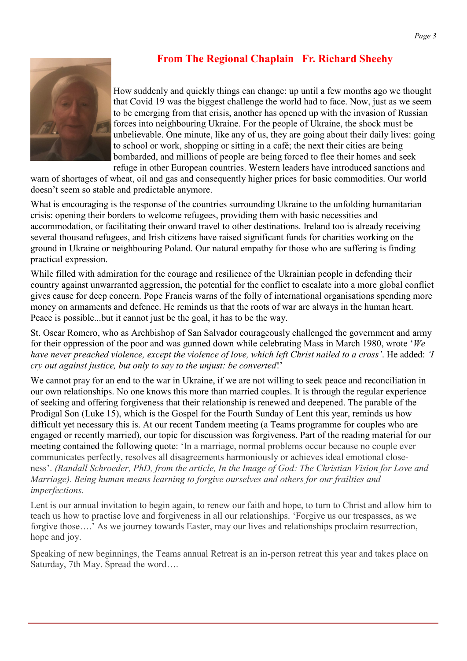# **From The Regional Chaplain Fr. Richard Sheehy**



How suddenly and quickly things can change: up until a few months ago we thought that Covid 19 was the biggest challenge the world had to face. Now, just as we seem to be emerging from that crisis, another has opened up with the invasion of Russian forces into neighbouring Ukraine. For the people of Ukraine, the shock must be unbelievable. One minute, like any of us, they are going about their daily lives: going to school or work, shopping or sitting in a café; the next their cities are being bombarded, and millions of people are being forced to flee their homes and seek refuge in other European countries. Western leaders have introduced sanctions and

warn of shortages of wheat, oil and gas and consequently higher prices for basic commodities. Our world doesn't seem so stable and predictable anymore.

What is encouraging is the response of the countries surrounding Ukraine to the unfolding humanitarian crisis: opening their borders to welcome refugees, providing them with basic necessities and accommodation, or facilitating their onward travel to other destinations. Ireland too is already receiving several thousand refugees, and Irish citizens have raised significant funds for charities working on the ground in Ukraine or neighbouring Poland. Our natural empathy for those who are suffering is finding practical expression.

While filled with admiration for the courage and resilience of the Ukrainian people in defending their country against unwarranted aggression, the potential for the conflict to escalate into a more global conflict gives cause for deep concern. Pope Francis warns of the folly of international organisations spending more money on armaments and defence. He reminds us that the roots of war are always in the human heart. Peace is possible...but it cannot just be the goal, it has to be the way.

St. Oscar Romero, who as Archbishop of San Salvador courageously challenged the government and army for their oppression of the poor and was gunned down while celebrating Mass in March 1980, wrote '*We have never preached violence, except the violence of love, which left Christ nailed to a cross'*. He added: *'I cry out against justice, but only to say to the unjust: be converted*!'

We cannot pray for an end to the war in Ukraine, if we are not willing to seek peace and reconciliation in our own relationships. No one knows this more than married couples. It is through the regular experience of seeking and offering forgiveness that their relationship is renewed and deepened. The parable of the Prodigal Son (Luke 15), which is the Gospel for the Fourth Sunday of Lent this year, reminds us how difficult yet necessary this is. At our recent Tandem meeting (a Teams programme for couples who are engaged or recently married), our topic for discussion was forgiveness. Part of the reading material for our meeting contained the following quote: 'In a marriage, normal problems occur because no couple ever communicates perfectly, resolves all disagreements harmoniously or achieves ideal emotional closeness'. *(Randall Schroeder, PhD, from the article, In the Image of God: The Christian Vision for Love and Marriage). Being human means learning to forgive ourselves and others for our frailties and imperfections.* 

Lent is our annual invitation to begin again, to renew our faith and hope, to turn to Christ and allow him to teach us how to practise love and forgiveness in all our relationships. 'Forgive us our trespasses, as we forgive those....' As we journey towards Easter, may our lives and relationships proclaim resurrection, hope and joy.

Speaking of new beginnings, the Teams annual Retreat is an in-person retreat this year and takes place on Saturday, 7th May. Spread the word….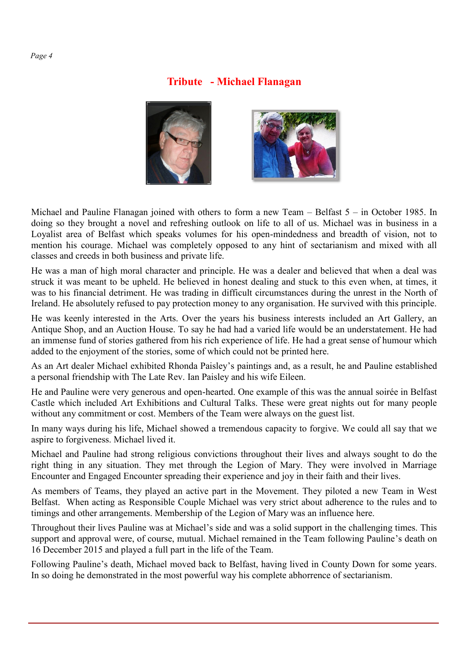#### **Tribute - Michael Flanagan**



Michael and Pauline Flanagan joined with others to form a new Team – Belfast 5 – in October 1985. In doing so they brought a novel and refreshing outlook on life to all of us. Michael was in business in a Loyalist area of Belfast which speaks volumes for his open-mindedness and breadth of vision, not to mention his courage. Michael was completely opposed to any hint of sectarianism and mixed with all classes and creeds in both business and private life.

He was a man of high moral character and principle. He was a dealer and believed that when a deal was struck it was meant to be upheld. He believed in honest dealing and stuck to this even when, at times, it was to his financial detriment. He was trading in difficult circumstances during the unrest in the North of Ireland. He absolutely refused to pay protection money to any organisation. He survived with this principle.

He was keenly interested in the Arts. Over the years his business interests included an Art Gallery, an Antique Shop, and an Auction House. To say he had had a varied life would be an understatement. He had an immense fund of stories gathered from his rich experience of life. He had a great sense of humour which added to the enjoyment of the stories, some of which could not be printed here.

As an Art dealer Michael exhibited Rhonda Paisley's paintings and, as a result, he and Pauline established a personal friendship with The Late Rev. Ian Paisley and his wife Eileen.

He and Pauline were very generous and open-hearted. One example of this was the annual soirée in Belfast Castle which included Art Exhibitions and Cultural Talks. These were great nights out for many people without any commitment or cost. Members of the Team were always on the guest list.

In many ways during his life, Michael showed a tremendous capacity to forgive. We could all say that we aspire to forgiveness. Michael lived it.

Michael and Pauline had strong religious convictions throughout their lives and always sought to do the right thing in any situation. They met through the Legion of Mary. They were involved in Marriage Encounter and Engaged Encounter spreading their experience and joy in their faith and their lives.

As members of Teams, they played an active part in the Movement. They piloted a new Team in West Belfast. When acting as Responsible Couple Michael was very strict about adherence to the rules and to timings and other arrangements. Membership of the Legion of Mary was an influence here.

Throughout their lives Pauline was at Michael's side and was a solid support in the challenging times. This support and approval were, of course, mutual. Michael remained in the Team following Pauline's death on 16 December 2015 and played a full part in the life of the Team.

Following Pauline's death, Michael moved back to Belfast, having lived in County Down for some years. In so doing he demonstrated in the most powerful way his complete abhorrence of sectarianism.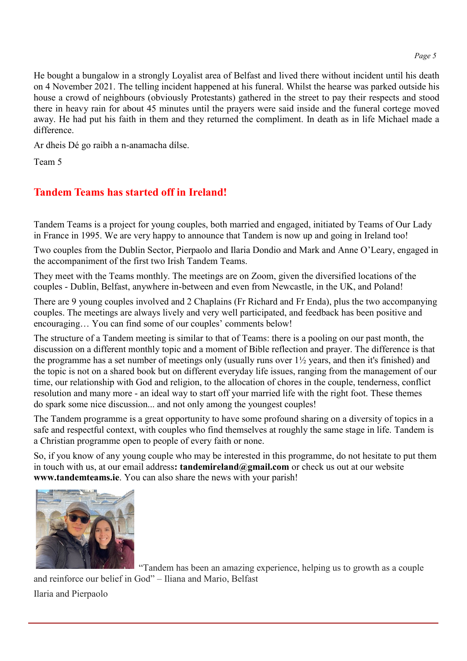He bought a bungalow in a strongly Loyalist area of Belfast and lived there without incident until his death on 4 November 2021. The telling incident happened at his funeral. Whilst the hearse was parked outside his house a crowd of neighbours (obviously Protestants) gathered in the street to pay their respects and stood there in heavy rain for about 45 minutes until the prayers were said inside and the funeral cortege moved away. He had put his faith in them and they returned the compliment. In death as in life Michael made a difference.

Ar dheis Dé go raibh a n-anamacha dílse.

Team 5

# **Tandem Teams has started off in Ireland!**

Tandem Teams is a project for young couples, both married and engaged, initiated by Teams of Our Lady in France in 1995. We are very happy to announce that Tandem is now up and going in Ireland too!

Two couples from the Dublin Sector, Pierpaolo and Ilaria Dondio and Mark and Anne O'Leary, engaged in the accompaniment of the first two Irish Tandem Teams.

They meet with the Teams monthly. The meetings are on Zoom, given the diversified locations of the couples - Dublin, Belfast, anywhere in-between and even from Newcastle, in the UK, and Poland!

There are 9 young couples involved and 2 Chaplains (Fr Richard and Fr Enda), plus the two accompanying couples. The meetings are always lively and very well participated, and feedback has been positive and encouraging… You can find some of our couples' comments below!

The structure of a Tandem meeting is similar to that of Teams: there is a pooling on our past month, the discussion on a different monthly topic and a moment of Bible reflection and prayer. The difference is that the programme has a set number of meetings only (usually runs over 1½ years, and then it's finished) and the topic is not on a shared book but on different everyday life issues, ranging from the management of our time, our relationship with God and religion, to the allocation of chores in the couple, tenderness, conflict resolution and many more - an ideal way to start off your married life with the right foot. These themes do spark some nice discussion... and not only among the youngest couples!

The Tandem programme is a great opportunity to have some profound sharing on a diversity of topics in a safe and respectful context, with couples who find themselves at roughly the same stage in life. Tandem is a Christian programme open to people of every faith or none.

So, if you know of any young couple who may be interested in this programme, do not hesitate to put them in touch with us, at our email address**: tandemireland@gmail.com** or check us out at our website **www.tandemteams.ie**. You can also share the news with your parish!



"Tandem has been an amazing experience, helping us to growth as a couple and reinforce our belief in God" – Iliana and Mario, Belfast Ilaria and Pierpaolo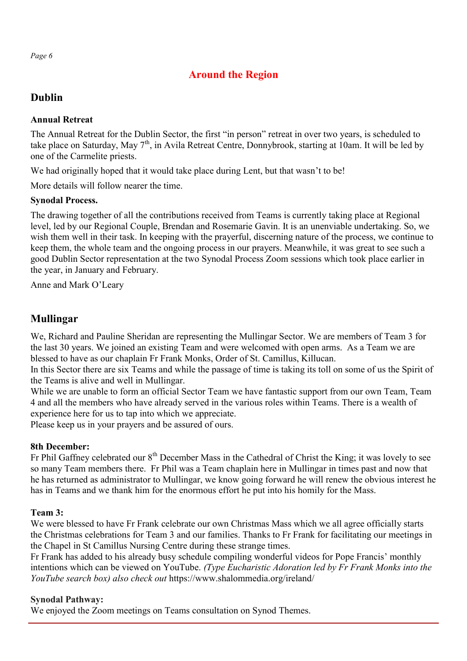# **Around the Region**

# **Dublin**

#### **Annual Retreat**

The Annual Retreat for the Dublin Sector, the first "in person" retreat in over two years, is scheduled to take place on Saturday, May  $7<sup>th</sup>$ , in Avila Retreat Centre, Donnybrook, starting at 10am. It will be led by one of the Carmelite priests.

We had originally hoped that it would take place during Lent, but that wasn't to be!

More details will follow nearer the time.

## **Synodal Process.**

The drawing together of all the contributions received from Teams is currently taking place at Regional level, led by our Regional Couple, Brendan and Rosemarie Gavin. It is an unenviable undertaking. So, we wish them well in their task. In keeping with the prayerful, discerning nature of the process, we continue to keep them, the whole team and the ongoing process in our prayers. Meanwhile, it was great to see such a good Dublin Sector representation at the two Synodal Process Zoom sessions which took place earlier in the year, in January and February.

Anne and Mark O'Leary

# **Mullingar**

We, Richard and Pauline Sheridan are representing the Mullingar Sector. We are members of Team 3 for the last 30 years. We joined an existing Team and were welcomed with open arms. As a Team we are blessed to have as our chaplain Fr Frank Monks, Order of St. Camillus, Killucan.

In this Sector there are six Teams and while the passage of time is taking its toll on some of us the Spirit of the Teams is alive and well in Mullingar.

While we are unable to form an official Sector Team we have fantastic support from our own Team, Team 4 and all the members who have already served in the various roles within Teams. There is a wealth of experience here for us to tap into which we appreciate.

Please keep us in your prayers and be assured of ours.

## **8th December:**

Fr Phil Gaffney celebrated our 8<sup>th</sup> December Mass in the Cathedral of Christ the King; it was lovely to see so many Team members there. Fr Phil was a Team chaplain here in Mullingar in times past and now that he has returned as administrator to Mullingar, we know going forward he will renew the obvious interest he has in Teams and we thank him for the enormous effort he put into his homily for the Mass.

## **Team 3:**

We were blessed to have Fr Frank celebrate our own Christmas Mass which we all agree officially starts the Christmas celebrations for Team 3 and our families. Thanks to Fr Frank for facilitating our meetings in the Chapel in St Camillus Nursing Centre during these strange times.

Fr Frank has added to his already busy schedule compiling wonderful videos for Pope Francis' monthly intentions which can be viewed on YouTube. *(Type Eucharistic Adoration led by Fr Frank Monks into the YouTube search box) also check out* <https://www.shalommedia.org/ireland/>

## **Synodal Pathway:**

We enjoyed the Zoom meetings on Teams consultation on Synod Themes.

*Page 6*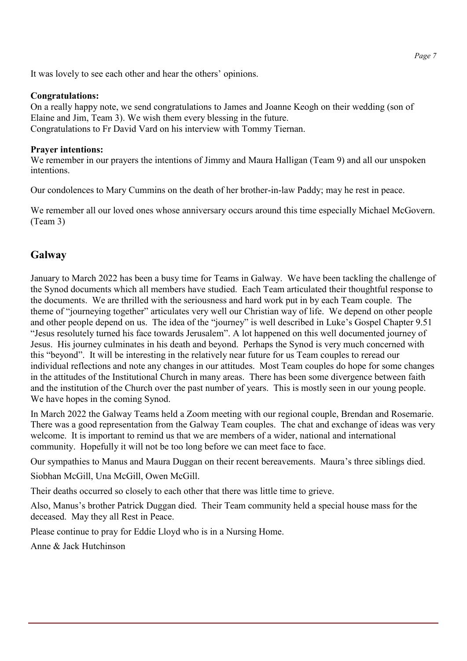It was lovely to see each other and hear the others' opinions.

#### **Congratulations:**

On a really happy note, we send congratulations to James and Joanne Keogh on their wedding (son of Elaine and Jim, Team 3). We wish them every blessing in the future. Congratulations to Fr David Vard on his interview with Tommy Tiernan.

#### **Prayer intentions:**

We remember in our prayers the intentions of Jimmy and Maura Halligan (Team 9) and all our unspoken intentions.

Our condolences to Mary Cummins on the death of her brother-in-law Paddy; may he rest in peace.

We remember all our loved ones whose anniversary occurs around this time especially Michael McGovern. (Team 3)

## **Galway**

January to March 2022 has been a busy time for Teams in Galway. We have been tackling the challenge of the Synod documents which all members have studied. Each Team articulated their thoughtful response to the documents. We are thrilled with the seriousness and hard work put in by each Team couple. The theme of "journeying together" articulates very well our Christian way of life. We depend on other people and other people depend on us. The idea of the "journey" is well described in Luke's Gospel Chapter 9.51 "Jesus resolutely turned his face towards Jerusalem". A lot happened on this well documented journey of Jesus. His journey culminates in his death and beyond. Perhaps the Synod is very much concerned with this "beyond". It will be interesting in the relatively near future for us Team couples to reread our individual reflections and note any changes in our attitudes. Most Team couples do hope for some changes in the attitudes of the Institutional Church in many areas. There has been some divergence between faith and the institution of the Church over the past number of years. This is mostly seen in our young people. We have hopes in the coming Synod.

In March 2022 the Galway Teams held a Zoom meeting with our regional couple, Brendan and Rosemarie. There was a good representation from the Galway Team couples. The chat and exchange of ideas was very welcome. It is important to remind us that we are members of a wider, national and international community. Hopefully it will not be too long before we can meet face to face.

Our sympathies to Manus and Maura Duggan on their recent bereavements. Maura's three siblings died.

Siobhan McGill, Una McGill, Owen McGill.

Their deaths occurred so closely to each other that there was little time to grieve.

Also, Manus's brother Patrick Duggan died. Their Team community held a special house mass for the deceased. May they all Rest in Peace.

Please continue to pray for Eddie Lloyd who is in a Nursing Home.

Anne & Jack Hutchinson